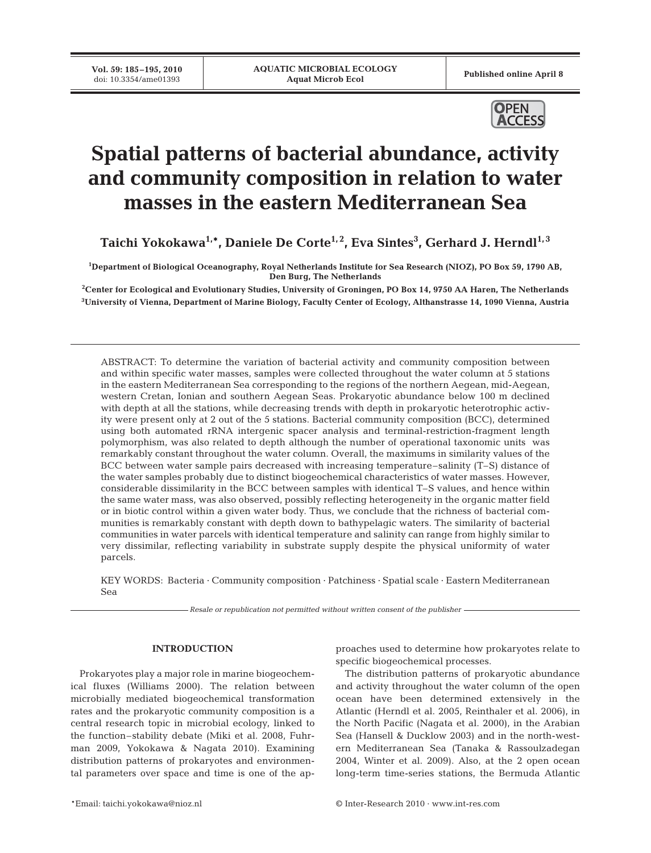Published online April 8



# **Spatial patterns of bacterial abundance, activity and community composition in relation to water masses in the eastern Mediterranean Sea**

**Taichi Yokokawa1,\*, Daniele De Corte1, 2, Eva Sintes3 , Gerhard J. Herndl1, 3**

**1 Department of Biological Oceanography, Royal Netherlands Institute for Sea Research (NIOZ), PO Box 59, 1790 AB, Den Burg, The Netherlands**

**2 Center for Ecological and Evolutionary Studies, University of Groningen, PO Box 14, 9750 AA Haren, The Netherlands 3 University of Vienna, Department of Marine Biology, Faculty Center of Ecology, Althanstrasse 14, 1090 Vienna, Austria**

ABSTRACT: To determine the variation of bacterial activity and community composition between and within specific water masses, samples were collected throughout the water column at 5 stations in the eastern Mediterranean Sea corresponding to the regions of the northern Aegean, mid-Aegean, western Cretan, Ionian and southern Aegean Seas. Prokaryotic abundance below 100 m declined with depth at all the stations, while decreasing trends with depth in prokaryotic heterotrophic activity were present only at 2 out of the 5 stations. Bacterial community composition (BCC), determined using both automated rRNA intergenic spacer analysis and terminal-restriction-fragment length polymorphism, was also related to depth although the number of operational taxonomic units was remarkably constant throughout the water column. Overall, the maximums in similarity values of the BCC between water sample pairs decreased with increasing temperature–salinity (T–S) distance of the water samples probably due to distinct biogeochemical characteristics of water masses. However, considerable dissimilarity in the BCC between samples with identical T–S values, and hence within the same water mass, was also observed, possibly reflecting heterogeneity in the organic matter field or in biotic control within a given water body. Thus, we conclude that the richness of bacterial communities is remarkably constant with depth down to bathypelagic waters. The similarity of bacterial communities in water parcels with identical temperature and salinity can range from highly similar to very dissimilar, reflecting variability in substrate supply despite the physical uniformity of water parcels.

KEY WORDS: Bacteria · Community composition · Patchiness · Spatial scale · Eastern Mediterranean Sea

*Resale or republication not permitted without written consent of the publisher*

## **INTRODUCTION**

Prokaryotes play a major role in marine biogeochemical fluxes (Williams 2000). The relation between microbially mediated biogeochemical transformation rates and the prokaryotic community composition is a central research topic in microbial ecology, linked to the function–stability debate (Miki et al. 2008, Fuhrman 2009, Yokokawa & Nagata 2010). Examining distribution patterns of prokaryotes and environmental parameters over space and time is one of the approaches used to determine how prokaryotes relate to specific biogeochemical processes.

The distribution patterns of prokaryotic abundance and activity throughout the water column of the open ocean have been determined extensively in the Atlantic (Herndl et al. 2005, Reinthaler et al. 2006), in the North Pacific (Nagata et al. 2000), in the Arabian Sea (Hansell & Ducklow 2003) and in the north-western Mediterranean Sea (Tanaka & Rassoulzadegan 2004, Winter et al. 2009). Also, at the 2 open ocean long-term time-series stations, the Bermuda Atlantic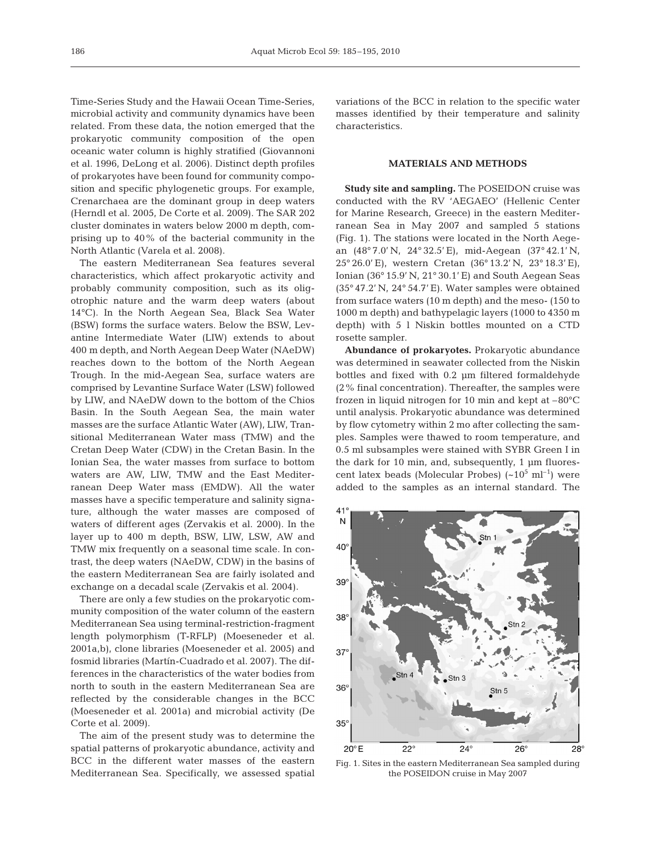Time-Series Study and the Hawaii Ocean Time-Series, microbial activity and community dynamics have been related. From these data, the notion emerged that the prokaryotic community composition of the open oceanic water column is highly stratified (Giovannoni et al. 1996, DeLong et al. 2006). Distinct depth profiles of prokaryotes have been found for community composition and specific phylogenetic groups. For example, Crenarchaea are the dominant group in deep waters (Herndl et al. 2005, De Corte et al. 2009). The SAR 202 cluster dominates in waters below 2000 m depth, comprising up to 40% of the bacterial community in the North Atlantic (Varela et al. 2008).

The eastern Mediterranean Sea features several characteristics, which affect prokaryotic activity and probably community composition, such as its oligotrophic nature and the warm deep waters (about 14°C). In the North Aegean Sea, Black Sea Water (BSW) forms the surface waters. Below the BSW, Levantine Intermediate Water (LIW) extends to about 400 m depth, and North Aegean Deep Water (NAeDW) reaches down to the bottom of the North Aegean Trough. In the mid-Aegean Sea, surface waters are comprised by Levantine Surface Water (LSW) followed by LIW, and NAeDW down to the bottom of the Chios Basin. In the South Aegean Sea, the main water masses are the surface Atlantic Water (AW), LIW, Transitional Mediterranean Water mass (TMW) and the Cretan Deep Water (CDW) in the Cretan Basin. In the Ionian Sea, the water masses from surface to bottom waters are AW, LIW, TMW and the East Mediterranean Deep Water mass (EMDW). All the water masses have a specific temperature and salinity signature, although the water masses are composed of waters of different ages (Zervakis et al. 2000). In the layer up to 400 m depth, BSW, LIW, LSW, AW and TMW mix frequently on a seasonal time scale. In contrast, the deep waters (NAeDW, CDW) in the basins of the eastern Mediterranean Sea are fairly isolated and exchange on a decadal scale (Zervakis et al. 2004).

There are only a few studies on the prokaryotic community composition of the water column of the eastern Mediterranean Sea using terminal-restriction-fragment length polymorphism (T-RFLP) (Moeseneder et al. 2001a,b), clone libraries (Moeseneder et al. 2005) and fosmid libraries (Martín-Cuadrado et al. 2007). The differences in the characteristics of the water bodies from north to south in the eastern Mediterranean Sea are reflected by the considerable changes in the BCC (Moeseneder et al. 2001a) and microbial activity (De Corte et al. 2009).

The aim of the present study was to determine the spatial patterns of prokaryotic abundance, activity and BCC in the different water masses of the eastern Mediterranean Sea. Specifically, we assessed spatial variations of the BCC in relation to the specific water masses identified by their temperature and salinity characteristics.

## **MATERIALS AND METHODS**

**Study site and sampling.** The POSEIDON cruise was conducted with the RV 'AEGAEO' (Hellenic Center for Marine Research, Greece) in the eastern Mediterranean Sea in May 2007 and sampled 5 stations (Fig. 1). The stations were located in the North Aegean (48° 7.0' N, 24° 32.5' E), mid-Aegean (37° 42.1' N, 25° 26.0' E), western Cretan (36° 13.2' N, 23° 18.3' E), Ionian (36° 15.9' N, 21° 30.1' E) and South Aegean Seas (35° 47.2' N, 24° 54.7' E). Water samples were obtained from surface waters (10 m depth) and the meso- (150 to 1000 m depth) and bathypelagic layers (1000 to 4350 m depth) with 5 l Niskin bottles mounted on a CTD rosette sampler.

**Abundance of prokaryotes.** Prokaryotic abundance was determined in seawater collected from the Niskin bottles and fixed with 0.2 µm filtered formaldehyde (2% final concentration). Thereafter, the samples were frozen in liquid nitrogen for 10 min and kept at –80°C until analysis. Prokaryotic abundance was determined by flow cytometry within 2 mo after collecting the samples. Samples were thawed to room temperature, and 0.5 ml subsamples were stained with SYBR Green I in the dark for 10 min, and, subsequently, 1 µm fluorescent latex beads (Molecular Probes)  $({\sim}10^5 \text{ ml}^{-1})$  were added to the samples as an internal standard. The



Fig. 1. Sites in the eastern Mediterranean Sea sampled during the POSEIDON cruise in May 2007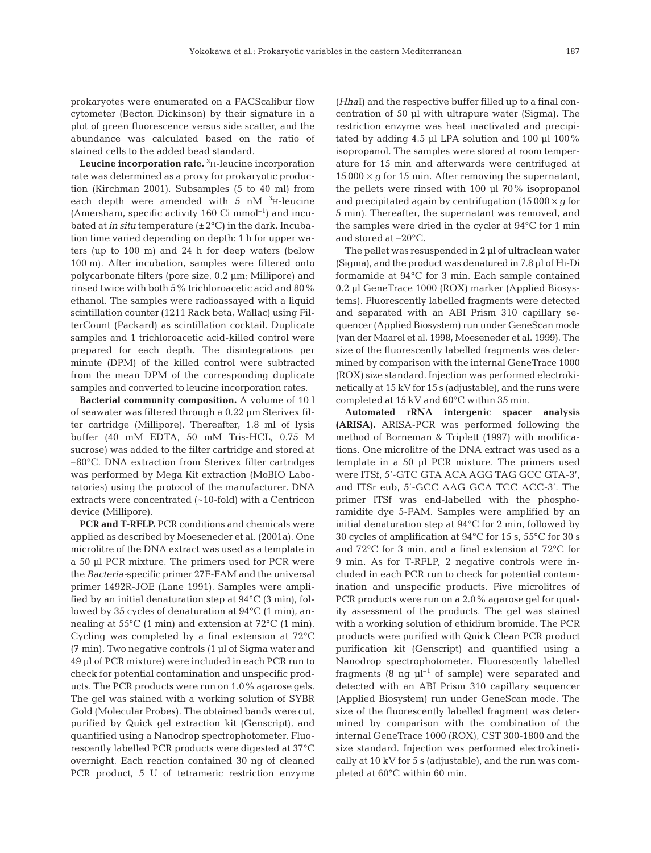prokaryotes were enumerated on a FACScalibur flow cytometer (Becton Dickinson) by their signature in a plot of green fluorescence versus side scatter, and the abundance was calculated based on the ratio of stained cells to the added bead standard.

**Leucine incorporation rate.** <sup>3</sup> H-leucine incorporation rate was determined as a proxy for prokaryotic production (Kirchman 2001). Subsamples (5 to 40 ml) from each depth were amended with  $5 \text{ nM}$   $\text{^{3}}$ H-leucine (Amersham, specific activity 160 Ci mmol<sup>-1</sup>) and incubated at *in situ* temperature (±2°C) in the dark. Incubation time varied depending on depth: 1 h for upper waters (up to 100 m) and 24 h for deep waters (below 100 m). After incubation, samples were filtered onto polycarbonate filters (pore size, 0.2 µm; Millipore) and rinsed twice with both 5  $\%$  trichloroacetic acid and 80  $\%$ ethanol. The samples were radioassayed with a liquid scintillation counter (1211 Rack beta, Wallac) using FilterCount (Packard) as scintillation cocktail. Duplicate samples and 1 trichloroacetic acid-killed control were prepared for each depth. The disintegrations per minute (DPM) of the killed control were subtracted from the mean DPM of the corresponding duplicate samples and converted to leucine incorporation rates.

**Bacterial community composition.** A volume of 10 l of seawater was filtered through a 0.22 µm Sterivex filter cartridge (Millipore). Thereafter, 1.8 ml of lysis buffer (40 mM EDTA, 50 mM Tris-HCL, 0.75 M sucrose) was added to the filter cartridge and stored at –80°C. DNA extraction from Sterivex filter cartridges was performed by Mega Kit extraction (MoBIO Laboratories) using the protocol of the manufacturer. DNA extracts were concentrated (~10-fold) with a Centricon device (Millipore).

**PCR and T-RFLP.** PCR conditions and chemicals were applied as described by Moeseneder et al. (2001a). One microlitre of the DNA extract was used as a template in a 50 µl PCR mixture. The primers used for PCR were the *Bacteria-*specific primer 27F-FAM and the universal primer 1492R-JOE (Lane 1991). Samples were amplified by an initial denaturation step at 94°C (3 min), followed by 35 cycles of denaturation at 94°C (1 min), annealing at 55°C (1 min) and extension at 72°C (1 min). Cycling was completed by a final extension at 72°C (7 min). Two negative controls (1 µl of Sigma water and 49 µl of PCR mixture) were included in each PCR run to check for potential contamination and unspecific products. The PCR products were run on 1.0% agarose gels. The gel was stained with a working solution of SYBR Gold (Molecular Probes). The obtained bands were cut, purified by Quick gel extraction kit (Genscript), and quantified using a Nanodrop spectrophotometer. Fluorescently labelled PCR products were digested at 37°C overnight. Each reaction contained 30 ng of cleaned PCR product, 5 U of tetrameric restriction enzyme (*Hha*I) and the respective buffer filled up to a final concentration of 50 µl with ultrapure water (Sigma). The restriction enzyme was heat inactivated and precipitated by adding 4.5 µl LPA solution and 100 µl 100% isopropanol. The samples were stored at room temperature for 15 min and afterwards were centrifuged at  $15000 \times g$  for 15 min. After removing the supernatant, the pellets were rinsed with 100 µl 70% isopropanol and precipitated again by centrifugation  $(15000 \times g)$  for 5 min). Thereafter, the supernatant was removed, and the samples were dried in the cycler at 94°C for 1 min and stored at –20°C.

The pellet was resuspended in 2 µl of ultraclean water (Sigma), and the product was denatured in 7.8 µl of Hi-Di formamide at 94°C for 3 min. Each sample contained 0.2 µl GeneTrace 1000 (ROX) marker (Applied Biosystems). Fluorescently labelled fragments were detected and separated with an ABI Prism 310 capillary sequencer (Applied Biosystem) run under GeneScan mode (van der Maarel et al. 1998, Moeseneder et al. 1999). The size of the fluorescently labelled fragments was determined by comparison with the internal GeneTrace 1000 (ROX) size standard. Injection was performed electrokinetically at 15 kV for 15 s (adjustable), and the runs were completed at 15 kV and 60°C within 35 min.

**Automated rRNA intergenic spacer analysis (ARISA).** ARISA-PCR was performed following the method of Borneman & Triplett (1997) with modifications. One microlitre of the DNA extract was used as a template in a 50 µl PCR mixture. The primers used were ITSf, 5'-GTC GTA ACA AGG TAG GCC GTA-3', and ITSr eub, 5'-GCC AAG GCA TCC ACC-3'. The primer ITSf was end-labelled with the phosphoramidite dye 5-FAM. Samples were amplified by an initial denaturation step at 94°C for 2 min, followed by 30 cycles of amplification at 94°C for 15 s, 55°C for 30 s and 72°C for 3 min, and a final extension at 72°C for 9 min. As for T-RFLP, 2 negative controls were included in each PCR run to check for potential contamination and unspecific products. Five microlitres of PCR products were run on a 2.0% agarose gel for quality assessment of the products. The gel was stained with a working solution of ethidium bromide. The PCR products were purified with Quick Clean PCR product purification kit (Genscript) and quantified using a Nanodrop spectrophotometer. Fluorescently labelled fragments (8 ng  $\mu$ l<sup>-1</sup> of sample) were separated and detected with an ABI Prism 310 capillary sequencer (Applied Biosystem) run under GeneScan mode. The size of the fluorescently labelled fragment was determined by comparison with the combination of the internal GeneTrace 1000 (ROX), CST 300-1800 and the size standard. Injection was performed electrokinetically at 10 kV for 5 s (adjustable), and the run was completed at 60°C within 60 min.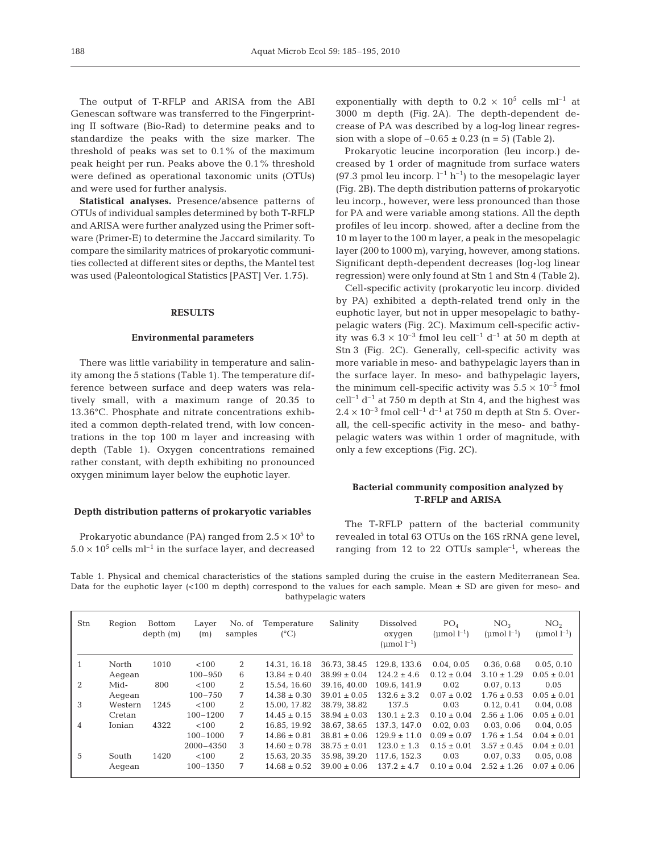The output of T-RFLP and ARISA from the ABI Genescan software was transferred to the Fingerprinting II software (Bio-Rad) to determine peaks and to standardize the peaks with the size marker. The threshold of peaks was set to 0.1% of the maximum peak height per run. Peaks above the 0.1% threshold were defined as operational taxonomic units (OTUs) and were used for further analysis.

**Statistical analyses.** Presence/absence patterns of OTUs of individual samples determined by both T-RFLP and ARISA were further analyzed using the Primer software (Primer-E) to determine the Jaccard similarity. To compare the similarity matrices of prokaryotic communities collected at different sites or depths, the Mantel test was used (Paleontological Statistics [PAST] Ver. 1.75).

#### **RESULTS**

#### **Environmental parameters**

There was little variability in temperature and salinity among the 5 stations (Table 1). The temperature difference between surface and deep waters was relatively small, with a maximum range of 20.35 to 13.36°C. Phosphate and nitrate concentrations exhibited a common depth-related trend, with low concentrations in the top 100 m layer and increasing with depth (Table 1). Oxygen concentrations remained rather constant, with depth exhibiting no pronounced oxygen minimum layer below the euphotic layer.

#### **Depth distribution patterns of prokaryotic variables**

Prokaryotic abundance (PA) ranged from  $2.5 \times 10^5$  to  $5.0 \times 10^5$  cells ml<sup>-1</sup> in the surface layer, and decreased exponentially with depth to  $0.2 \times 10^5$  cells ml<sup>-1</sup> at 3000 m depth (Fig. 2A). The depth-dependent decrease of PA was described by a log-log linear regression with a slope of  $-0.65 \pm 0.23$  (n = 5) (Table 2).

Prokaryotic leucine incorporation (leu incorp.) decreased by 1 order of magnitude from surface waters (97.3 pmol leu incorp.  $l^{-1}$  h<sup>-1</sup>) to the mesopelagic layer (Fig. 2B). The depth distribution patterns of prokaryotic leu incorp., however, were less pronounced than those for PA and were variable among stations. All the depth profiles of leu incorp. showed, after a decline from the 10 m layer to the 100 m layer, a peak in the mesopelagic layer (200 to 1000 m), varying, however, among stations. Significant depth-dependent decreases (log-log linear regression) were only found at Stn 1 and Stn 4 (Table 2).

Cell-specific activity (prokaryotic leu incorp. divided by PA) exhibited a depth-related trend only in the euphotic layer, but not in upper mesopelagic to bathypelagic waters (Fig. 2C). Maximum cell-specific activity was  $6.3 \times 10^{-3}$  fmol leu cell<sup>-1</sup> d<sup>-1</sup> at 50 m depth at Stn 3 (Fig. 2C). Generally, cell-specific activity was more variable in meso- and bathypelagic layers than in the surface layer. In meso- and bathypelagic layers, the minimum cell-specific activity was  $5.5 \times 10^{-5}$  fmol cell<sup>-1</sup> d<sup>-1</sup> at 750 m depth at Stn 4, and the highest was  $2.4\times10^{-3}$  fmol $\rm {cell}^{-1}$  d $1}$  at 750 m depth at Stn 5. Overall, the cell-specific activity in the meso- and bathypelagic waters was within 1 order of magnitude, with only a few exceptions (Fig. 2C).

## **Bacterial community composition analyzed by T-RFLP and ARISA**

The T-RFLP pattern of the bacterial community revealed in total 63 OTUs on the 16S rRNA gene level, ranging from 12 to 22 OTUs sample<sup> $-1$ </sup>, whereas the

Table 1. Physical and chemical characteristics of the stations sampled during the cruise in the eastern Mediterranean Sea. Data for the euphotic layer (<100 m depth) correspond to the values for each sample. Mean  $\pm$  SD are given for meso- and bathypelagic waters

| Stn | Region  | <b>Bottom</b><br>depth(m) | Layer<br>(m) | No. of<br>samples           | Temperature<br>$(^{\circ}C)$ | Salinity         | Dissolved<br>oxygen<br>(umol $l^{-1}$ ) | PO <sub>4</sub><br>(umol $l^{-1}$ ) | NO <sub>3</sub><br>(umol $l^{-1}$ ) | NO <sub>2</sub><br>(umol $l^{-1}$ ) |
|-----|---------|---------------------------|--------------|-----------------------------|------------------------------|------------------|-----------------------------------------|-------------------------------------|-------------------------------------|-------------------------------------|
|     | North   | 1010                      | < 100        | 2                           | 14.31, 16.18                 | 36.73, 38.45     | 129.8, 133.6                            | 0.04, 0.05                          | 0.36, 0.68                          | 0.05.0.10                           |
|     | Aegean  |                           | $100 - 950$  | 6                           | $13.84 \pm 0.40$             | $38.99 \pm 0.04$ | $124.2 \pm 4.6$                         | $0.12 \pm 0.04$                     | $3.10 \pm 1.29$                     | $0.05 \pm 0.01$                     |
| 2   | Mid-    | 800                       | < 100        | $\overline{2}$              | 15.54, 16.60                 | 39.16, 40.00     | 109.6.141.9                             | 0.02                                | 0.07.0.13                           | 0.05                                |
|     | Aeqean  |                           | $100 - 750$  | 7                           | $14.38 \pm 0.30$             | $39.01 \pm 0.05$ | $132.6 \pm 3.2$                         | $0.07 \pm 0.02$                     | $1.76 \pm 0.53$                     | $0.05 \pm 0.01$                     |
| 3   | Western | 1245                      | < 100        | $\mathcal{D}_{\mathcal{L}}$ | 15.00.17.82                  | 38.79.38.82      | 137.5                                   | 0.03                                | 0.12.0.41                           | 0.04.0.08                           |
|     | Cretan  |                           | $100 - 1200$ | 7                           | $14.45 \pm 0.15$             | $38.94 \pm 0.03$ | $130.1 \pm 2.3$                         | $0.10 \pm 0.04$                     | $2.56 \pm 1.06$                     | $0.05 \pm 0.01$                     |
| 4   | Ionian  | 4322                      | < 100        | 2                           | 16.85, 19.92                 | 38.67, 38.65     | 137.3, 147.0                            | 0.02, 0.03                          | 0.03, 0.06                          | 0.04.0.05                           |
|     |         |                           | $100 - 1000$ | 7                           | $14.86 \pm 0.81$             | $38.81 \pm 0.06$ | $129.9 \pm 11.0$                        | $0.09 \pm 0.07$                     | $1.76 \pm 1.54$                     | $0.04 \pm 0.01$                     |
|     |         |                           | 2000-4350    | 3                           | $14.60 \pm 0.78$             | $38.75 \pm 0.01$ | $123.0 \pm 1.3$                         | $0.15 \pm 0.01$                     | $3.57 \pm 0.45$                     | $0.04 \pm 0.01$                     |
| 5   | South   | 1420                      | < 100        | $\overline{2}$              | 15.63, 20.35                 | 35.98.39.20      | 117.6, 152.3                            | 0.03                                | 0.07.033                            | 0.05, 0.08                          |
|     | Aeqean  |                           | $100 - 1350$ | 7                           | $14.68 \pm 0.52$             | $39.00 \pm 0.06$ | $137.2 \pm 4.7$                         | $0.10 \pm 0.04$                     | $2.52 \pm 1.26$                     | $0.07 \pm 0.06$                     |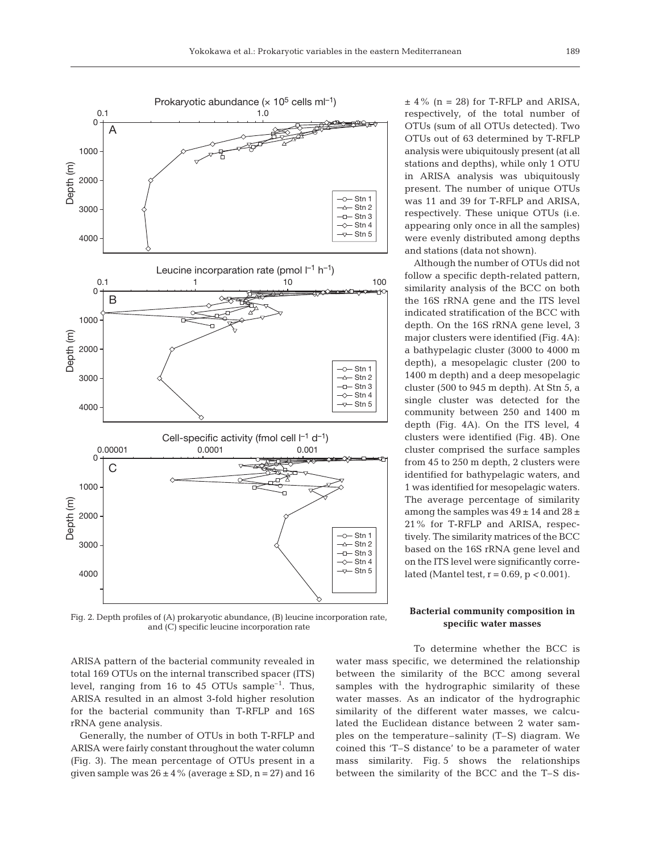

Fig. 2. Depth profiles of (A) prokaryotic abundance, (B) leucine incorporation rate, and (C) specific leucine incorporation rate

 $±$  4% (n = 28) for T-RFLP and ARISA, respectively, of the total number of OTUs (sum of all OTUs detected). Two OTUs out of 63 determined by T-RFLP analysis were ubiquitously present (at all stations and depths), while only 1 OTU in ARISA analysis was ubiquitously present. The number of unique OTUs was 11 and 39 for T-RFLP and ARISA, respectively. These unique OTUs (i.e. appearing only once in all the samples) were evenly distributed among depths and stations (data not shown).

Although the number of OTUs did not follow a specific depth-related pattern, similarity analysis of the BCC on both the 16S rRNA gene and the ITS level indicated stratification of the BCC with depth. On the 16S rRNA gene level, 3 major clusters were identified (Fig. 4A): a bathypelagic cluster (3000 to 4000 m depth), a mesopelagic cluster (200 to 1400 m depth) and a deep mesopelagic cluster (500 to 945 m depth). At Stn 5, a single cluster was detected for the community between 250 and 1400 m depth (Fig. 4A). On the ITS level, 4 clusters were identified (Fig. 4B). One cluster comprised the surface samples from 45 to 250 m depth, 2 clusters were identified for bathypelagic waters, and 1 was identified for mesopelagic waters. The average percentage of similarity among the samples was  $49 \pm 14$  and  $28 \pm 14$ 21% for T-RFLP and ARISA, respectively. The similarity matrices of the BCC based on the 16S rRNA gene level and on the ITS level were significantly correlated (Mantel test, r = 0.69, p *<* 0.001).

## **Bacterial community composition in specific water masses**

ARISA pattern of the bacterial community revealed in total 169 OTUs on the internal transcribed spacer (ITS) level, ranging from 16 to 45 OTUs sample<sup>-1</sup>. Thus, ARISA resulted in an almost 3-fold higher resolution for the bacterial community than T-RFLP and 16S rRNA gene analysis.

Generally, the number of OTUs in both T-RFLP and ARISA were fairly constant throughout the water column (Fig. 3). The mean percentage of OTUs present in a given sample was  $26 \pm 4\%$  (average  $\pm$  SD, n = 27) and 16

To determine whether the BCC is water mass specific, we determined the relationship between the similarity of the BCC among several samples with the hydrographic similarity of these water masses. As an indicator of the hydrographic similarity of the different water masses, we calculated the Euclidean distance between 2 water samples on the temperature–salinity (T–S) diagram. We coined this 'T–S distance' to be a parameter of water mass similarity. Fig. 5 shows the relationships between the similarity of the BCC and the T–S dis-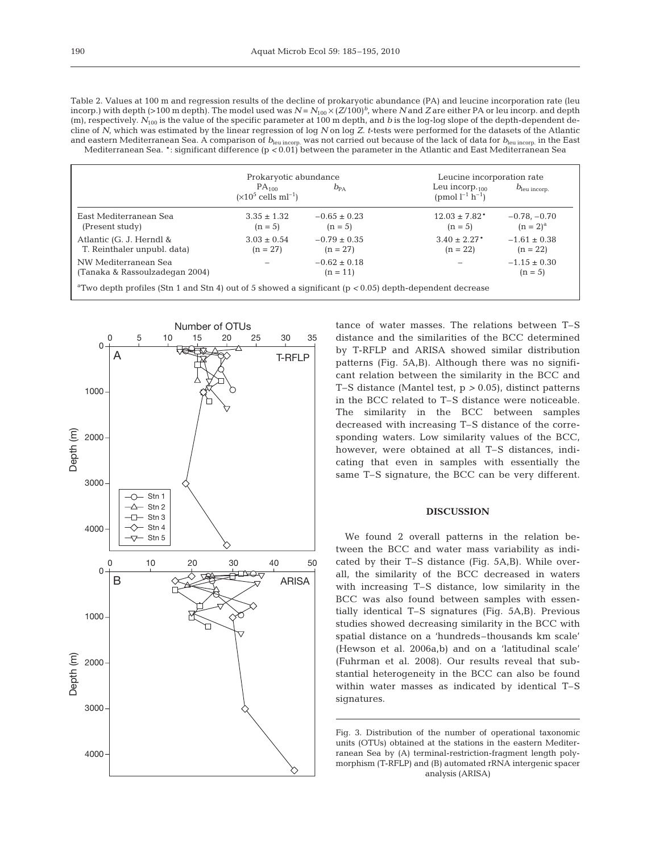|                                                                                                                         | Prokaryotic abundance                                     |                                | Leucine incorporation rate                               |                                 |  |
|-------------------------------------------------------------------------------------------------------------------------|-----------------------------------------------------------|--------------------------------|----------------------------------------------------------|---------------------------------|--|
|                                                                                                                         | PA <sub>100</sub><br>$(\times 10^5 \text{ cells m}^{-1})$ | $b_{\text{PA}}$                | Leu incorp. $_{100}$<br>(pmol $l^{-1}$ h <sup>-1</sup> ) | $b_{\text{leu incorp.}}$        |  |
| East Mediterranean Sea<br>(Present study)                                                                               | $3.35 \pm 1.32$<br>$(n = 5)$                              | $-0.65 \pm 0.23$<br>$(n = 5)$  | $12.03 \pm 7.82^*$<br>$(n = 5)$                          | $-0.78, -0.70$<br>$(n = 2)^{a}$ |  |
| Atlantic (G. J. Herndl &<br>T. Reinthaler unpubl. data)                                                                 | $3.03 \pm 0.54$<br>$(n = 27)$                             | $-0.79 \pm 0.35$<br>$(n = 27)$ | $3.40 \pm 2.27$ <sup>*</sup><br>$(n = 22)$               | $-1.61 \pm 0.38$<br>$(n = 22)$  |  |
| NW Mediterranean Sea<br>(Tanaka & Rassoulzadegan 2004)                                                                  |                                                           | $-0.62 \pm 0.18$<br>$(n = 11)$ | $\overline{\phantom{0}}$                                 | $-1.15 \pm 0.30$<br>$(n = 5)$   |  |
| <sup>a</sup> Two depth profiles (Stn 1 and Stn 4) out of 5 showed a significant ( $p < 0.05$ ) depth-dependent decrease |                                                           |                                |                                                          |                                 |  |



tance of water masses. The relations between T–S distance and the similarities of the BCC determined by T-RFLP and ARISA showed similar distribution patterns (Fig. 5A,B). Although there was no significant relation between the similarity in the BCC and T–S distance (Mantel test, p *>* 0.05), distinct patterns in the BCC related to T–S distance were noticeable. The similarity in the BCC between samples decreased with increasing T–S distance of the corresponding waters. Low similarity values of the BCC, however, were obtained at all T–S distances, indicating that even in samples with essentially the same T–S signature, the BCC can be very different.

## **DISCUSSION**

We found 2 overall patterns in the relation between the BCC and water mass variability as indicated by their T–S distance (Fig. 5A,B). While overall, the similarity of the BCC decreased in waters with increasing T–S distance, low similarity in the BCC was also found between samples with essentially identical T–S signatures (Fig. 5A,B). Previous studies showed decreasing similarity in the BCC with spatial distance on a 'hundreds–thousands km scale' (Hewson et al. 2006a,b) and on a 'latitudinal scale' (Fuhrman et al. 2008). Our results reveal that substantial heterogeneity in the BCC can also be found within water masses as indicated by identical T–S signatures.

Fig. 3. Distribution of the number of operational taxonomic units (OTUs) obtained at the stations in the eastern Mediterranean Sea by (A) terminal-restriction-fragment length polymorphism (T-RFLP) and (B) automated rRNA intergenic spacer analysis (ARISA)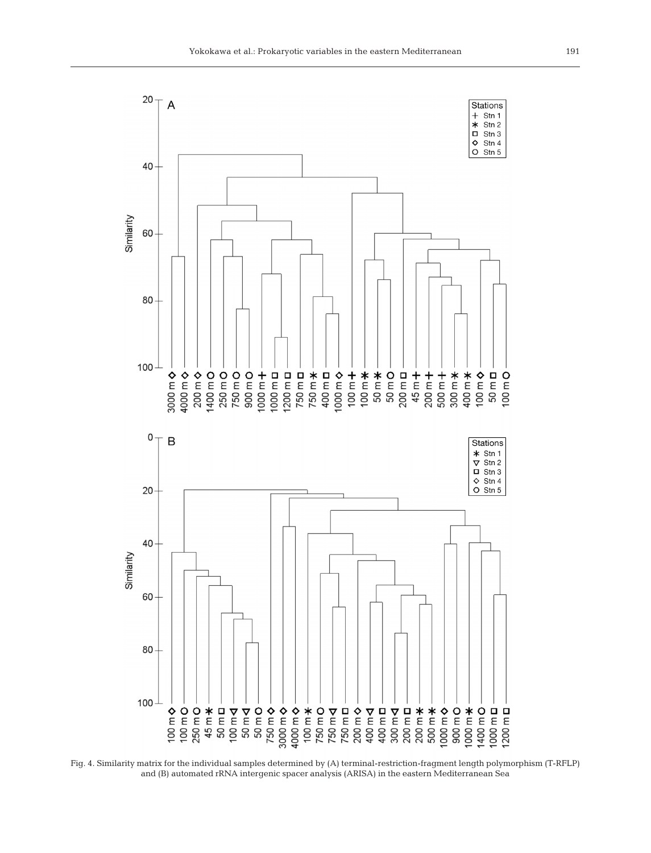

Fig. 4. Similarity matrix for the individual samples determined by (A) terminal-restriction-fragment length polymorphism (T-RFLP) and (B) automated rRNA intergenic spacer analysis (ARISA) in the eastern Mediterranean Sea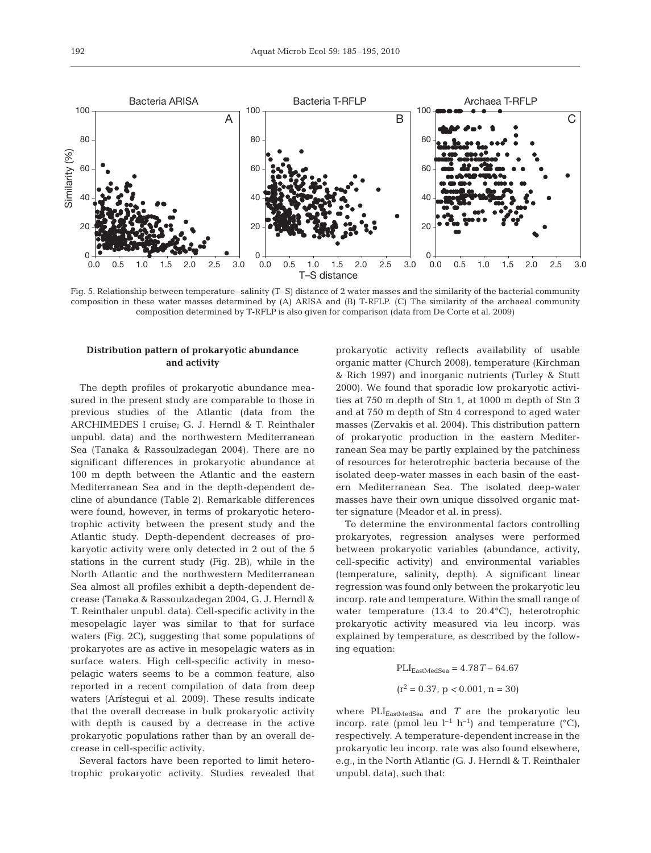

Fig. 5. Relationship between temperature–salinity (T–S) distance of 2 water masses and the similarity of the bacterial community composition in these water masses determined by (A) ARISA and (B) T-RFLP. (C) The similarity of the archaeal community composition determined by T-RFLP is also given for comparison (data from De Corte et al. 2009)

# **Distribution pattern of prokaryotic abundance and activity**

The depth profiles of prokaryotic abundance measured in the present study are comparable to those in previous studies of the Atlantic (data from the ARCHIMEDES I cruise; G. J. Herndl & T. Reinthaler unpubl. data) and the northwestern Mediterranean Sea (Tanaka & Rassoulzadegan 2004). There are no significant differences in prokaryotic abundance at 100 m depth between the Atlantic and the eastern Mediterranean Sea and in the depth-dependent decline of abundance (Table 2). Remarkable differences were found, however, in terms of prokaryotic heterotrophic activity between the present study and the Atlantic study. Depth-dependent decreases of prokaryotic activity were only detected in 2 out of the 5 stations in the current study (Fig. 2B), while in the North Atlantic and the northwestern Mediterranean Sea almost all profiles exhibit a depth-dependent decrease (Tanaka & Rassoulzadegan 2004, G. J. Herndl & T. Reinthaler unpubl. data). Cell-specific activity in the mesopelagic layer was similar to that for surface waters (Fig. 2C), suggesting that some populations of prokaryotes are as active in mesopelagic waters as in surface waters. High cell-specific activity in mesopelagic waters seems to be a common feature, also reported in a recent compilation of data from deep waters (Arístegui et al. 2009). These results indicate that the overall decrease in bulk prokaryotic activity with depth is caused by a decrease in the active prokaryotic populations rather than by an overall decrease in cell-specific activity.

Several factors have been reported to limit heterotrophic prokaryotic activity. Studies revealed that prokaryotic activity reflects availability of usable organic matter (Church 2008), temperature (Kirchman & Rich 1997) and inorganic nutrients (Turley & Stutt 2000). We found that sporadic low prokaryotic activities at 750 m depth of Stn 1, at 1000 m depth of Stn 3 and at 750 m depth of Stn 4 correspond to aged water masses (Zervakis et al. 2004). This distribution pattern of prokaryotic production in the eastern Mediterranean Sea may be partly explained by the patchiness of resources for heterotrophic bacteria because of the isolated deep-water masses in each basin of the eastern Mediterranean Sea. The isolated deep-water masses have their own unique dissolved organic matter signature (Meador et al. in press).

To determine the environmental factors controlling prokaryotes, regression analyses were performed between prokaryotic variables (abundance, activity, cell-specific activity) and environmental variables (temperature, salinity, depth). A significant linear regression was found only between the prokaryotic leu incorp. rate and temperature. Within the small range of water temperature (13.4 to 20.4°C), heterotrophic prokaryotic activity measured via leu incorp. was explained by temperature, as described by the following equation:

$$
PLIEastMedSeq = 4.78T - 64.67
$$

$$
(r2 = 0.37, p < 0.001, n = 30)
$$

where  $PLI_{EastMedSeq}$  and  $T$  are the prokaryotic leu incorp. rate (pmol leu  $l^{-1}$  h<sup>-1</sup>) and temperature (°C), respectively. A temperature-dependent increase in the prokaryotic leu incorp. rate was also found elsewhere, e.g., in the North Atlantic (G. J. Herndl & T. Reinthaler unpubl. data), such that: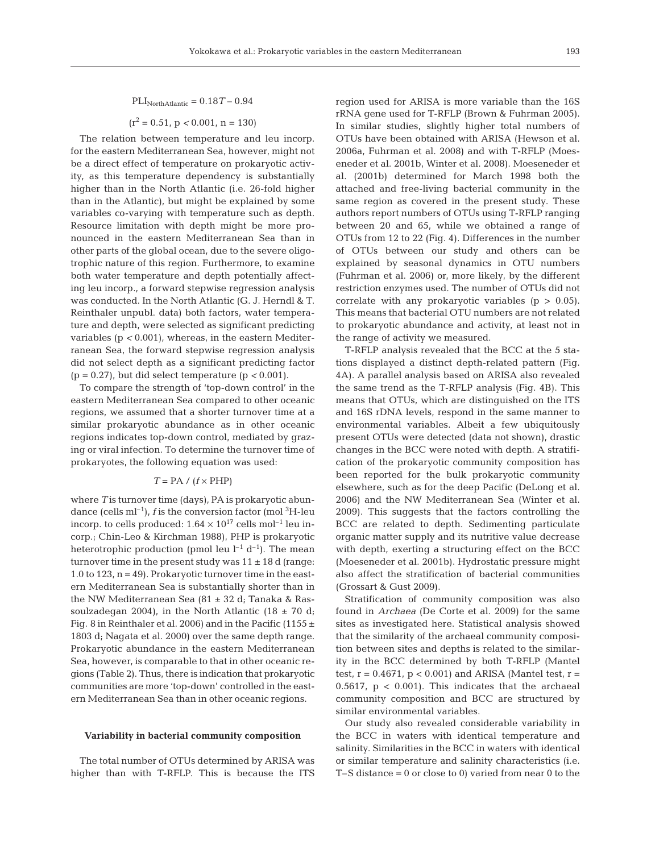$\text{PLI}_{\text{North Atlantic}} = 0.18\,T - 0.94$ 

$$
(r^2 = 0.51, p < 0.001, n = 130)
$$

The relation between temperature and leu incorp. for the eastern Mediterranean Sea, however, might not be a direct effect of temperature on prokaryotic activity, as this temperature dependency is substantially higher than in the North Atlantic (i.e. 26-fold higher than in the Atlantic), but might be explained by some variables co-varying with temperature such as depth. Resource limitation with depth might be more pronounced in the eastern Mediterranean Sea than in other parts of the global ocean, due to the severe oligotrophic nature of this region. Furthermore, to examine both water temperature and depth potentially affecting leu incorp., a forward stepwise regression analysis was conducted. In the North Atlantic (G. J. Herndl & T. Reinthaler unpubl. data) both factors, water temperature and depth, were selected as significant predicting variables (p *<* 0.001), whereas, in the eastern Mediterranean Sea, the forward stepwise regression analysis did not select depth as a significant predicting factor (p = 0.27), but did select temperature (p *<* 0.001).

To compare the strength of 'top-down control' in the eastern Mediterranean Sea compared to other oceanic regions, we assumed that a shorter turnover time at a similar prokaryotic abundance as in other oceanic regions indicates top-down control, mediated by grazing or viral infection. To determine the turnover time of prokaryotes, the following equation was used:

### $T = PA / (f \times PHP)$

where *T* is turnover time (days), PA is prokaryotic abundance (cells ml<sup>-1</sup>), *f* is the conversion factor (mol <sup>3</sup>H-leu incorp. to cells produced:  $1.64 \times 10^{17}$  cells mol<sup>-1</sup> leu incorp.; Chin-Leo & Kirchman 1988), PHP is prokaryotic heterotrophic production (pmol leu  $l^{-1}$  d<sup>-1</sup>). The mean turnover time in the present study was  $11 \pm 18$  d (range: 1.0 to 123,  $n = 49$ ). Prokaryotic turnover time in the eastern Mediterranean Sea is substantially shorter than in the NW Mediterranean Sea (81 ± 32 d; Tanaka & Rassoulzadegan 2004), in the North Atlantic (18  $\pm$  70 d; Fig. 8 in Reinthaler et al. 2006) and in the Pacific (1155  $\pm$ 1803 d; Nagata et al. 2000) over the same depth range. Prokaryotic abundance in the eastern Mediterranean Sea, however, is comparable to that in other oceanic regions (Table 2). Thus, there is indication that prokaryotic communities are more 'top-down' controlled in the eastern Mediterranean Sea than in other oceanic regions.

#### **Variability in bacterial community composition**

The total number of OTUs determined by ARISA was higher than with T-RFLP. This is because the ITS region used for ARISA is more variable than the 16S rRNA gene used for T-RFLP (Brown & Fuhrman 2005). In similar studies, slightly higher total numbers of OTUs have been obtained with ARISA (Hewson et al. 2006a, Fuhrman et al. 2008) and with T-RFLP (Moeseneder et al. 2001b, Winter et al. 2008). Moeseneder et al. (2001b) determined for March 1998 both the attached and free-living bacterial community in the same region as covered in the present study. These authors report numbers of OTUs using T-RFLP ranging between 20 and 65, while we obtained a range of OTUs from 12 to 22 (Fig. 4). Differences in the number of OTUs between our study and others can be explained by seasonal dynamics in OTU numbers (Fuhrman et al. 2006) or, more likely, by the different restriction enzymes used. The number of OTUs did not correlate with any prokaryotic variables  $(p > 0.05)$ . This means that bacterial OTU numbers are not related to prokaryotic abundance and activity, at least not in the range of activity we measured.

T-RFLP analysis revealed that the BCC at the 5 stations displayed a distinct depth-related pattern (Fig. 4A). A parallel analysis based on ARISA also revealed the same trend as the T-RFLP analysis (Fig. 4B). This means that OTUs, which are distinguished on the ITS and 16S rDNA levels, respond in the same manner to environmental variables. Albeit a few ubiquitously present OTUs were detected (data not shown), drastic changes in the BCC were noted with depth. A stratification of the prokaryotic community composition has been reported for the bulk prokaryotic community elsewhere, such as for the deep Pacific (DeLong et al. 2006) and the NW Mediterranean Sea (Winter et al. 2009). This suggests that the factors controlling the BCC are related to depth. Sedimenting particulate organic matter supply and its nutritive value decrease with depth, exerting a structuring effect on the BCC (Moeseneder et al. 2001b). Hydrostatic pressure might also affect the stratification of bacterial communities (Grossart & Gust 2009).

Stratification of community composition was also found in *Archaea* (De Corte et al. 2009) for the same sites as investigated here. Statistical analysis showed that the similarity of the archaeal community composition between sites and depths is related to the similarity in the BCC determined by both T-RFLP (Mantel test,  $r = 0.4671$ ,  $p < 0.001$ ) and ARISA (Mantel test,  $r =$ 0.5617,  $p < 0.001$ ). This indicates that the archaeal community composition and BCC are structured by similar environmental variables.

Our study also revealed considerable variability in the BCC in waters with identical temperature and salinity. Similarities in the BCC in waters with identical or similar temperature and salinity characteristics (i.e. T–S distance = 0 or close to 0) varied from near 0 to the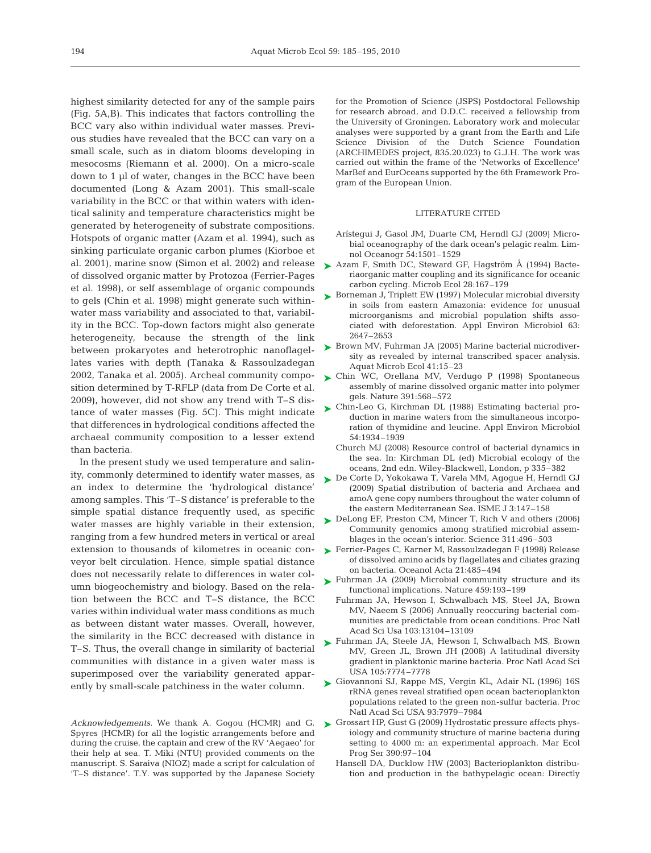highest similarity detected for any of the sample pairs (Fig. 5A,B). This indicates that factors controlling the BCC vary also within individual water masses. Previous studies have revealed that the BCC can vary on a small scale, such as in diatom blooms developing in mesocosms (Riemann et al. 2000). On a micro-scale down to 1 µl of water, changes in the BCC have been documented (Long & Azam 2001). This small-scale variability in the BCC or that within waters with identical salinity and temperature characteristics might be generated by heterogeneity of substrate compositions. Hotspots of organic matter (Azam et al. 1994), such as sinking particulate organic carbon plumes (Kiorboe et al. 2001), marine snow (Simon et al. 2002) and release of dissolved organic matter by Protozoa (Ferrier-Pages et al. 1998), or self assemblage of organic compounds to gels (Chin et al. 1998) might generate such withinwater mass variability and associated to that, variability in the BCC. Top-down factors might also generate heterogeneity, because the strength of the link between prokaryotes and heterotrophic nanoflagellates varies with depth (Tanaka & Rassoulzadegan 2002, Tanaka et al. 2005). Archeal community composition determined by T-RFLP (data from De Corte et al.

2009), however, did not show any trend with T–S distance of water masses (Fig. 5C). This might indicate that differences in hydrological conditions affected the archaeal community composition to a lesser extend than bacteria.

In the present study we used temperature and salinity, commonly determined to identify water masses, as an index to determine the 'hydrological distance' among samples. This 'T–S distance' is preferable to the simple spatial distance frequently used, as specific water masses are highly variable in their extension, ranging from a few hundred meters in vertical or areal extension to thousands of kilometres in oceanic conveyor belt circulation. Hence, simple spatial distance does not necessarily relate to differences in water column biogeochemistry and biology. Based on the relation between the BCC and T–S distance, the BCC varies within individual water mass conditions as much as between distant water masses. Overall, however, the similarity in the BCC decreased with distance in T–S. Thus, the overall change in similarity of bacterial communities with distance in a given water mass is superimposed over the variability generated apparently by small-scale patchiness in the water column.

*Acknowledgements.* We thank A. Gogou (HCMR) and G. Spyres (HCMR) for all the logistic arrangements before and during the cruise, the captain and crew of the RV 'Aegaeo' for their help at sea. T. Miki (NTU) provided comments on the manuscript. S. Saraiva (NIOZ) made a script for calculation of 'T–S distance'. T.Y. was supported by the Japanese Society

for the Promotion of Science (JSPS) Postdoctoral Fellowship for research abroad, and D.D.C. received a fellowship from the University of Groningen. Laboratory work and molecular analyses were supported by a grant from the Earth and Life Science Division of the Dutch Science Foundation (ARCHIMEDES project, 835.20.023) to G.J.H. The work was carried out within the frame of the 'Networks of Excellence' MarBef and EurOceans supported by the 6th Framework Program of the European Union.

## LITERATURE CITED

- Arístegui J, Gasol JM, Duarte CM, Herndl GJ (2009) Microbial oceanography of the dark ocean's pelagic realm. Limnol Oceanogr 54:1501–1529
- ▶ Azam F, Smith DC, Steward GF, Hagström Å (1994) Bacteriaorganic matter coupling and its significance for oceanic carbon cycling. Microb Ecol 28:167–179
- ► Borneman J, Triplett EW (1997) Molecular microbial diversity in soils from eastern Amazonia: evidence for unusual microorganisms and microbial population shifts associated with deforestation. Appl Environ Microbiol 63: 2647–2653
- ► Brown MV, Fuhrman JA (2005) Marine bacterial microdiversity as revealed by internal transcribed spacer analysis. Aquat Microb Ecol 41:15–23
- ► Chin WC, Orellana MV, Verdugo P (1998) Spontaneous assembly of marine dissolved organic matter into polymer gels. Nature 391:568–572
- ► Chin-Leo G, Kirchman DL (1988) Estimating bacterial production in marine waters from the simultaneous incorporation of thymidine and leucine. Appl Environ Microbiol 54:1934–1939
	- Church MJ (2008) Resource control of bacterial dynamics in the sea. In: Kirchman DL (ed) Microbial ecology of the oceans, 2nd edn. Wiley-Blackwell, London, p 335–382
- ► De Corte D, Yokokawa T, Varela MM, Agogue H, Herndl GJ (2009) Spatial distribution of bacteria and Archaea and amoA gene copy numbers throughout the water column of the eastern Mediterranean Sea. ISME J 3:147–158
- ► DeLong EF, Preston CM, Mincer T, Rich V and others (2006) Community genomics among stratified microbial assemblages in the ocean's interior. Science 311:496–503
- ► Ferrier-Pages C, Karner M, Rassoulzadegan F (1998) Release of dissolved amino acids by flagellates and ciliates grazing on bacteria. Oceanol Acta 21:485–494
- ► Fuhrman JA (2009) Microbial community structure and its functional implications. Nature 459:193–199
	- Fuhrman JA, Hewson I, Schwalbach MS, Steel JA, Brown MV, Naeem S (2006) Annually reoccuring bacterial communities are predictable from ocean conditions. Proc Natl Acad Sci Usa 103:13104–13109
- ▶ Fuhrman JA, Steele JA, Hewson I, Schwalbach MS, Brown MV, Green JL, Brown JH (2008) A latitudinal diversity gradient in planktonic marine bacteria. Proc Natl Acad Sci USA 105:7774–7778
- ► Giovannoni SJ, Rappe MS, Vergin KL, Adair NL (1996) 16S rRNA genes reveal stratified open ocean bacterioplankton populations related to the green non-sulfur bacteria. Proc Natl Acad Sci USA 93:7979–7984
- ► Grossart HP, Gust G (2009) Hydrostatic pressure affects physiology and community structure of marine bacteria during setting to 4000 m: an experimental approach. Mar Ecol Prog Ser 390:97–104
	- Hansell DA, Ducklow HW (2003) Bacterioplankton distribution and production in the bathypelagic ocean: Directly